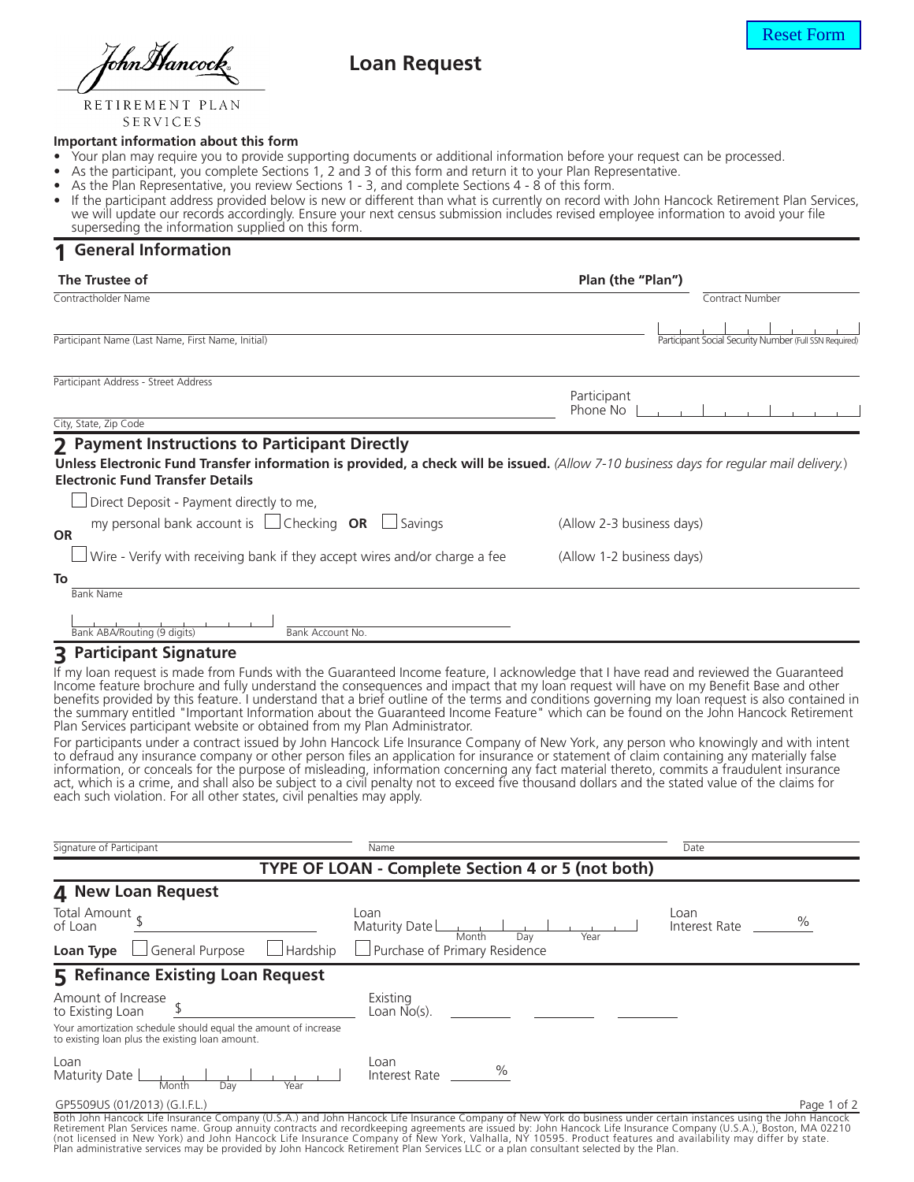TohnMancoci

# **Loan Request**

RETIREMENT PLAN SERVICES

#### **Important information about this form**

- Your plan may require you to provide supporting documents or additional information before your request can be processed.
- As the participant, you complete Sections 1, 2 and 3 of this form and return it to your Plan Representative.
- As the Plan Representative, you review Sections 1 3, and complete Sections 4 8 of this form.
- If the participant address provided below is new or different than what is currently on record with John Hancock Retirement Plan Services, we will update our records accordingly. Ensure your next census submission includes revised employee information to avoid your file superseding the information supplied on this form.

### **1 General Information**

| The Trustee of                                                                                                                                                                                                                      | Plan (the "Plan")                                      |
|-------------------------------------------------------------------------------------------------------------------------------------------------------------------------------------------------------------------------------------|--------------------------------------------------------|
| Contractholder Name                                                                                                                                                                                                                 | Contract Number                                        |
|                                                                                                                                                                                                                                     |                                                        |
| Participant Name (Last Name, First Name, Initial)                                                                                                                                                                                   | Participant Social Security Number (Full SSN Required) |
| Participant Address - Street Address                                                                                                                                                                                                |                                                        |
|                                                                                                                                                                                                                                     | Participant<br>Phone No                                |
| City, State, Zip Code                                                                                                                                                                                                               |                                                        |
| 2 Payment Instructions to Participant Directly<br>Unless Electronic Fund Transfer information is provided, a check will be issued. (Allow 7-10 business days for regular mail delivery.)<br><b>Electronic Fund Transfer Details</b> |                                                        |
| Direct Deposit - Payment directly to me,                                                                                                                                                                                            |                                                        |
| my personal bank account is $\Box$ Checking <b>OR</b><br>Savings<br><b>OR</b>                                                                                                                                                       | (Allow 2-3 business days)                              |
| Wire - Verify with receiving bank if they accept wires and/or charge a fee                                                                                                                                                          | (Allow 1-2 business days)                              |
| To                                                                                                                                                                                                                                  |                                                        |
| <b>Bank Name</b>                                                                                                                                                                                                                    |                                                        |
| Bank ABA/Routing (9 digits)<br>Bank Account No.                                                                                                                                                                                     |                                                        |

### **3 Participant Signature**

If my loan request is made from Funds with the Guaranteed Income feature, I acknowledge that I have read and reviewed the Guaranteed Income feature brochure and fully understand the consequences and impact that my loan request will have on my Benefit Base and other benefits provided by this feature. I understand that a brief outline of the terms and conditions governing my loan request is also contained in the summary entitled "Important Information about the Guaranteed Income Feature" which can be found on the John Hancock Retirement Plan Services participant website or obtained from my Plan Administrator.

For participants under a contract issued by John Hancock Life Insurance Company of New York, any person who knowingly and with intent to defraud any insurance company or other person files an application for insurance or statement of claim containing any materially false information, or conceals for the purpose of misleading, information concerning any fact material thereto, commits a fraudulent insurance act, which is a crime, and shall also be subject to a civil penalty not to exceed five thousand dollars and the stated value of the claims for each such violation. For all other states, civil penalties may apply.

| Signature of Participant                                                                                                                                         | Name                                  |      | Date                  |             |  |  |  |
|------------------------------------------------------------------------------------------------------------------------------------------------------------------|---------------------------------------|------|-----------------------|-------------|--|--|--|
| TYPE OF LOAN - Complete Section 4 or 5 (not both)                                                                                                                |                                       |      |                       |             |  |  |  |
| 4 New Loan Request                                                                                                                                               |                                       |      |                       |             |  |  |  |
| Total Amount.<br>of Loan                                                                                                                                         | Loan<br>Maturity Date<br>Month<br>Dav | Year | Loan<br>Interest Rate | $\%$        |  |  |  |
| $\Box$ General Purpose<br>Hardship<br>Loan Type                                                                                                                  | $\Box$ Purchase of Primary Residence  |      |                       |             |  |  |  |
| 5 Refinance Existing Loan Request                                                                                                                                |                                       |      |                       |             |  |  |  |
| Amount of Increase<br>to Existing Loan                                                                                                                           | Existing<br>Loan $No(s)$ .            |      |                       |             |  |  |  |
| Your amortization schedule should equal the amount of increase<br>to existing loan plus the existing loan amount.                                                |                                       |      |                       |             |  |  |  |
| Loan<br>Maturity Date<br>Month<br>Dav<br>Year                                                                                                                    | Loan<br>%<br>Interest Rate            |      |                       |             |  |  |  |
| GP5509US (01/2013) (G.I.F.L.)                                                                                                                                    |                                       |      |                       | Page 1 of 2 |  |  |  |
| Both John Hancock Life Insurance Company (U.S.A.) and John Hancock Life Insurance Company of New York do business under certain instances using the John Hancock |                                       |      |                       |             |  |  |  |

Both John Hancock Life Insurance Company (U.S.A.) and John Hancock Life Insurance Company of New York do business under certain instances using the John Hancock<br>Retirement Plan Services name. Group annuity contracts and re Plan administrative services may be provided by John Hancock Retirement Plan Services LLC or a plan consultant selected by the Plan.